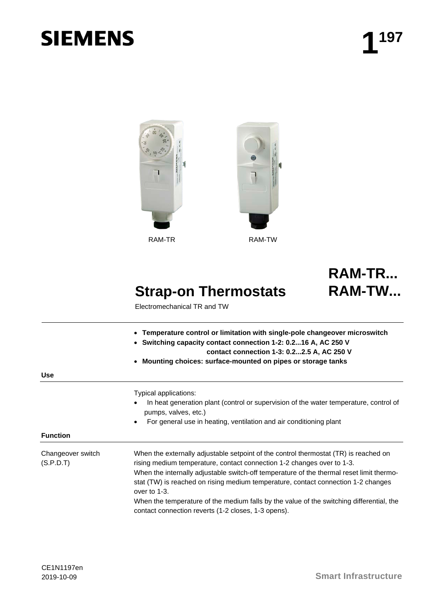# **SIEMENS**



RAM-TR RAM-TW



# **Strap-on Thermostats**

Electromechanical TR and TW

**RAM-TW...**

**RAM-TR...**

- **Temperature control or limitation with single-pole changeover microswitch**
	- **Switching capacity contact connection 1-2: 0.2...16 A, AC 250 V** 
		- **contact connection 1-3: 0.2...2.5 A, AC 250 V**
- **Mounting choices: surface-mounted on pipes or storage tanks**

| Typical applications: |
|-----------------------|
| In heat generation p  |
| pumps, valves, etc.)  |

• For general use in heating, ventilation and air conditioning plant

**Use**

Changeover switch (S.P.D.T)

When the externally adjustable setpoint of the control thermostat (TR) is reached on rising medium temperature, contact connection 1-2 changes over to 1-3. When the internally adjustable switch-off temperature of the thermal reset limit thermostat (TW) is reached on rising medium temperature, contact connection 1-2 changes over to 1-3.

generation plant (control or supervision of the water temperature, control of

When the temperature of the medium falls by the value of the switching differential, the contact connection reverts (1-2 closes, 1-3 opens).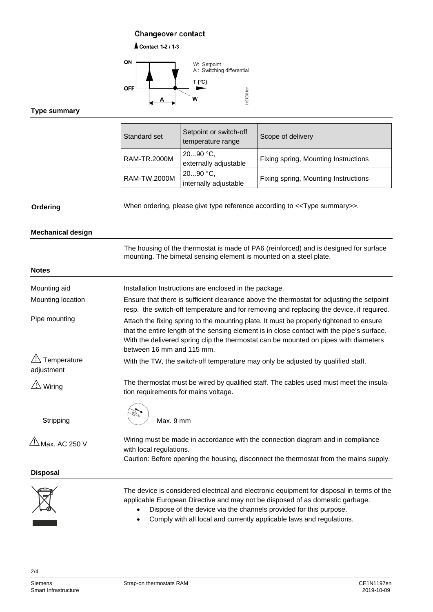# **Changeover contact**



### **Type summary**

| Standard set | Setpoint or switch-off<br>temperature range | Scope of delivery                    |
|--------------|---------------------------------------------|--------------------------------------|
| RAM-TR.2000M | $2090 °C$ ,<br>externally adjustable        | Fixing spring, Mounting Instructions |
| RAM-TW.2000M | $2090 °C$ ,<br>internally adjustable        | Fixing spring, Mounting Instructions |

# **Ordering**

When ordering, please give type reference according to <<Type summary>>.

### **Mechanical design**

|                                    | The housing of the thermostat is made of PA6 (reinforced) and is designed for surface<br>mounting. The bimetal sensing element is mounted on a steel plate.                                                                                                                                                |  |
|------------------------------------|------------------------------------------------------------------------------------------------------------------------------------------------------------------------------------------------------------------------------------------------------------------------------------------------------------|--|
| <b>Notes</b>                       |                                                                                                                                                                                                                                                                                                            |  |
| Mounting aid                       | Installation Instructions are enclosed in the package.                                                                                                                                                                                                                                                     |  |
| Mounting location                  | Ensure that there is sufficient clearance above the thermostat for adjusting the setpoint<br>resp. the switch-off temperature and for removing and replacing the device, if required.                                                                                                                      |  |
| Pipe mounting                      | Attach the fixing spring to the mounting plate. It must be properly tightened to ensure<br>that the entire length of the sensing element is in close contact with the pipe's surface.<br>With the delivered spring clip the thermostat can be mounted on pipes with diameters<br>between 16 mm and 115 mm. |  |
| Temperature<br>adjustment          | With the TW, the switch-off temperature may only be adjusted by qualified staff.                                                                                                                                                                                                                           |  |
| $\overline{\Delta}$ Wiring         | The thermostat must be wired by qualified staff. The cables used must meet the insula-<br>tion requirements for mains voltage.                                                                                                                                                                             |  |
| Stripping                          | Max. 9 mm                                                                                                                                                                                                                                                                                                  |  |
| $\frac{\sqrt{1}}{2}$ Max. AC 250 V | Wiring must be made in accordance with the connection diagram and in compliance<br>with local regulations.<br>Caution: Before opening the housing, disconnect the thermostat from the mains supply.                                                                                                        |  |
| <b>Disposal</b>                    |                                                                                                                                                                                                                                                                                                            |  |
|                                    | The device is considered electrical and electronic equipment for disposal in terms of the<br>applicable European Directive and may not be disposed of as domestic garbage.<br>Dispose of the device via the channels provided for this purpose.                                                            |  |

• Comply with all local and currently applicable laws and regulations.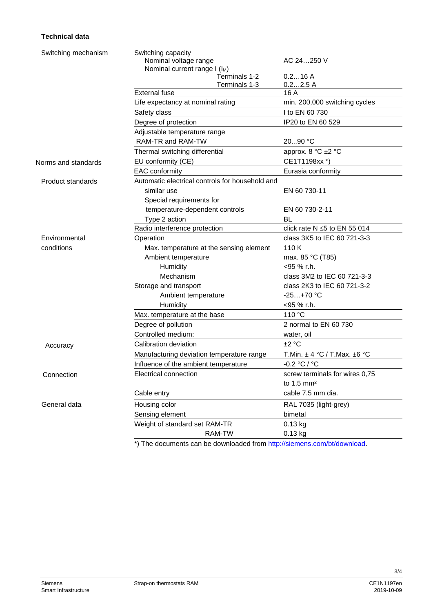# **Technical data**

| Switching mechanism | Switching capacity<br>Nominal voltage range     | AC 24250 V                            |
|---------------------|-------------------------------------------------|---------------------------------------|
|                     | Nominal current range I (I <sub>M</sub> )       |                                       |
|                     | Terminals 1-2<br>Terminals 1-3                  | 0.216A<br>0.22.5A                     |
|                     | <b>External fuse</b>                            | 16 A                                  |
|                     | Life expectancy at nominal rating               | min. 200,000 switching cycles         |
|                     | Safety class                                    | I to EN 60 730                        |
|                     | Degree of protection                            | IP20 to EN 60 529                     |
|                     | Adjustable temperature range                    |                                       |
|                     | RAM-TR and RAM-TW                               | 2090 °C                               |
|                     | Thermal switching differential                  | approx. 8 °C ±2 °C                    |
| Norms and standards | EU conformity (CE)                              | CE1T1198xx *)                         |
|                     | <b>EAC</b> conformity                           | Eurasia conformity                    |
| Product standards   | Automatic electrical controls for household and |                                       |
|                     | similar use                                     | EN 60 730-11                          |
|                     | Special requirements for                        |                                       |
|                     | temperature-dependent controls                  | EN 60 730-2-11                        |
|                     | Type 2 action                                   | BL                                    |
|                     | Radio interference protection                   | click rate $N \le 5$ to EN 55 014     |
| Environmental       | Operation                                       | class 3K5 to IEC 60 721-3-3           |
| conditions          | Max. temperature at the sensing element         | 110K                                  |
|                     | Ambient temperature                             | max. 85 °C (T85)                      |
|                     | Humidity                                        | <95 % r.h.                            |
|                     | Mechanism                                       | class 3M2 to IEC 60 721-3-3           |
|                     | Storage and transport                           | class 2K3 to IEC 60 721-3-2           |
|                     | Ambient temperature                             | $-25+70 °C$                           |
|                     | Humidity                                        | <95 % r.h.                            |
|                     | Max. temperature at the base                    | 110 °C                                |
|                     | Degree of pollution                             | 2 normal to EN 60 730                 |
|                     | Controlled medium:                              | water, oil                            |
| Accuracy            | Calibration deviation                           | ±2 °C                                 |
|                     | Manufacturing deviation temperature range       | T.Min. $\pm$ 4 °C / T.Max. $\pm$ 6 °C |
|                     | Influence of the ambient temperature            | $-0.2 °C / °C$                        |
| Connection          | Electrical connection                           | screw terminals for wires 0,75        |
|                     |                                                 | to $1,5$ mm <sup>2</sup>              |
|                     | Cable entry                                     | cable 7.5 mm dia.                     |
| General data        | Housing color                                   | RAL 7035 (light-grey)                 |
|                     | Sensing element                                 | bimetal                               |
|                     | Weight of standard set RAM-TR                   | $0.13$ kg                             |
|                     | RAM-TW                                          | 0.13 kg                               |
|                     |                                                 |                                       |

\*) The documents can be downloaded from [http://siemens.com/bt/download.](http://siemens.com/bt/download)